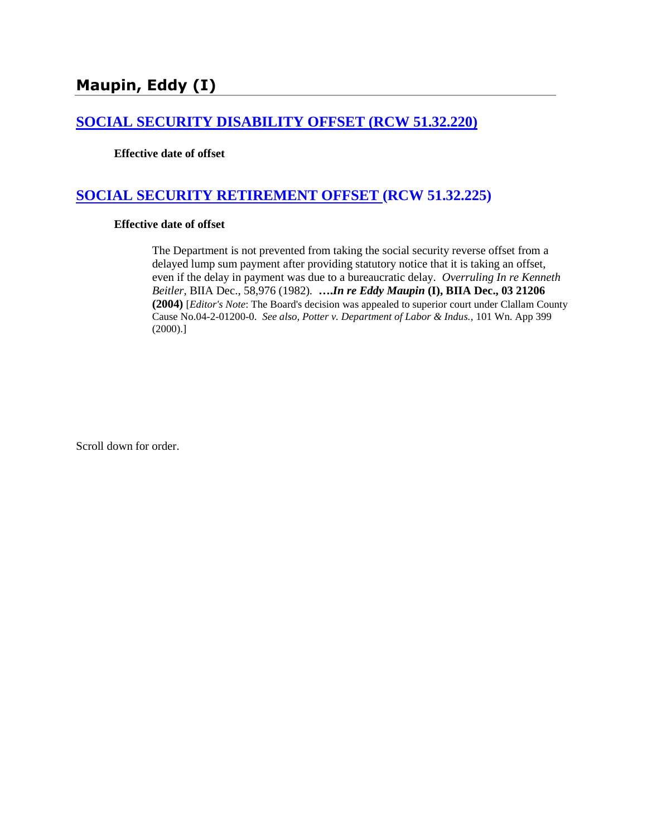# **Maupin, Eddy (I)**

#### **[SOCIAL SECURITY DISABILITY OFFSET \(RCW 51.32.220\)](http://www.biia.wa.gov/SDSubjectIndex.html#SOCIAL_SECURITY_DISABILITY_OFFSET)**

#### **Effective date of offset**

## **[SOCIAL SECURITY RETIREMENT OFFSET \(RCW 51.32.225\)](http://www.biia.wa.gov/SDSubjectIndex.html#SOCIAL_SECURITY_DISABILITY_OFFSET)**

#### **Effective date of offset**

The Department is not prevented from taking the social security reverse offset from a delayed lump sum payment after providing statutory notice that it is taking an offset, even if the delay in payment was due to a bureaucratic delay. *Overruling In re Kenneth Beitler,* BIIA Dec., 58,976 (1982)*.* **….***In re Eddy Maupin* **(I), BIIA Dec., 03 21206 (2004)** [*Editor's Note*: The Board's decision was appealed to superior court under Clallam County Cause No.04-2-01200-0. *See also, Potter v. Department of Labor & Indus.*, 101 Wn. App 399 (2000).]

Scroll down for order.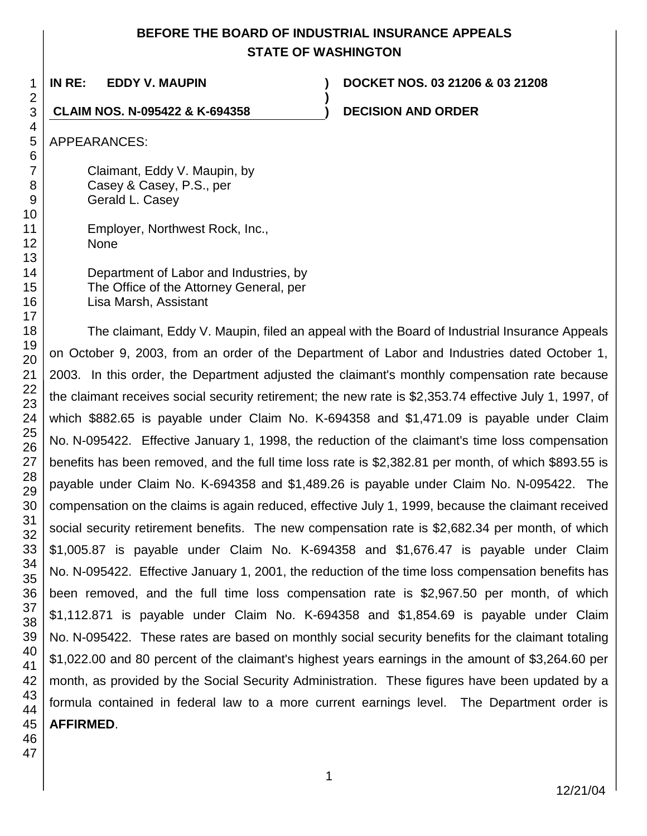## **BEFORE THE BOARD OF INDUSTRIAL INSURANCE APPEALS STATE OF WASHINGTON**

**)**

**IN RE: EDDY V. MAUPIN ) DOCKET NOS. 03 21206 & 03 21208**

### **CLAIM NOS. N-095422 & K-694358 ) DECISION AND ORDER**

1

APPEARANCES:

Claimant, Eddy V. Maupin, by Casey & Casey, P.S., per Gerald L. Casey

Employer, Northwest Rock, Inc., None

Department of Labor and Industries, by The Office of the Attorney General, per Lisa Marsh, Assistant

The claimant, Eddy V. Maupin, filed an appeal with the Board of Industrial Insurance Appeals on October 9, 2003, from an order of the Department of Labor and Industries dated October 1, 2003. In this order, the Department adjusted the claimant's monthly compensation rate because the claimant receives social security retirement; the new rate is \$2,353.74 effective July 1, 1997, of which \$882.65 is payable under Claim No. K-694358 and \$1,471.09 is payable under Claim No. N-095422. Effective January 1, 1998, the reduction of the claimant's time loss compensation benefits has been removed, and the full time loss rate is \$2,382.81 per month, of which \$893.55 is payable under Claim No. K-694358 and \$1,489.26 is payable under Claim No. N-095422. The compensation on the claims is again reduced, effective July 1, 1999, because the claimant received social security retirement benefits. The new compensation rate is \$2,682.34 per month, of which \$1,005.87 is payable under Claim No. K-694358 and \$1,676.47 is payable under Claim No. N-095422. Effective January 1, 2001, the reduction of the time loss compensation benefits has been removed, and the full time loss compensation rate is \$2,967.50 per month, of which \$1,112.871 is payable under Claim No. K-694358 and \$1,854.69 is payable under Claim No. N-095422. These rates are based on monthly social security benefits for the claimant totaling \$1,022.00 and 80 percent of the claimant's highest years earnings in the amount of \$3,264.60 per month, as provided by the Social Security Administration. These figures have been updated by a formula contained in federal law to a more current earnings level. The Department order is **AFFIRMED**.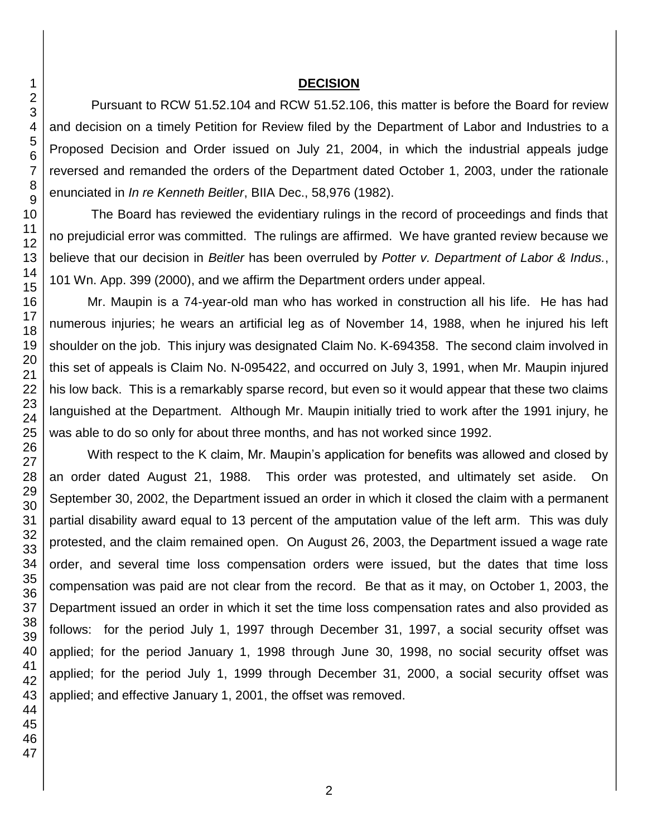#### **DECISION**

Pursuant to RCW 51.52.104 and RCW 51.52.106, this matter is before the Board for review and decision on a timely Petition for Review filed by the Department of Labor and Industries to a Proposed Decision and Order issued on July 21, 2004, in which the industrial appeals judge reversed and remanded the orders of the Department dated October 1, 2003, under the rationale enunciated in *In re Kenneth Beitler*, BIIA Dec., 58,976 (1982).

The Board has reviewed the evidentiary rulings in the record of proceedings and finds that no prejudicial error was committed. The rulings are affirmed. We have granted review because we believe that our decision in *Beitler* has been overruled by *Potter v. Department of Labor & Indus.*, 101 Wn. App. 399 (2000), and we affirm the Department orders under appeal.

Mr. Maupin is a 74-year-old man who has worked in construction all his life. He has had numerous injuries; he wears an artificial leg as of November 14, 1988, when he injured his left shoulder on the job. This injury was designated Claim No. K-694358. The second claim involved in this set of appeals is Claim No. N-095422, and occurred on July 3, 1991, when Mr. Maupin injured his low back. This is a remarkably sparse record, but even so it would appear that these two claims languished at the Department. Although Mr. Maupin initially tried to work after the 1991 injury, he was able to do so only for about three months, and has not worked since 1992.

With respect to the K claim, Mr. Maupin's application for benefits was allowed and closed by an order dated August 21, 1988. This order was protested, and ultimately set aside. On September 30, 2002, the Department issued an order in which it closed the claim with a permanent partial disability award equal to 13 percent of the amputation value of the left arm. This was duly protested, and the claim remained open. On August 26, 2003, the Department issued a wage rate order, and several time loss compensation orders were issued, but the dates that time loss compensation was paid are not clear from the record. Be that as it may, on October 1, 2003, the Department issued an order in which it set the time loss compensation rates and also provided as follows: for the period July 1, 1997 through December 31, 1997, a social security offset was applied; for the period January 1, 1998 through June 30, 1998, no social security offset was applied; for the period July 1, 1999 through December 31, 2000, a social security offset was applied; and effective January 1, 2001, the offset was removed.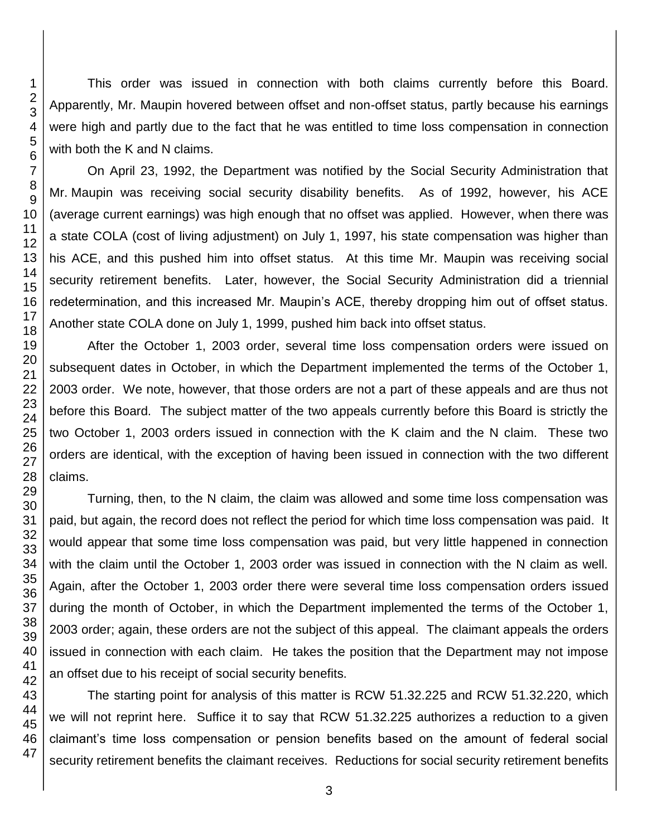This order was issued in connection with both claims currently before this Board. Apparently, Mr. Maupin hovered between offset and non-offset status, partly because his earnings were high and partly due to the fact that he was entitled to time loss compensation in connection with both the K and N claims.

On April 23, 1992, the Department was notified by the Social Security Administration that Mr. Maupin was receiving social security disability benefits. As of 1992, however, his ACE (average current earnings) was high enough that no offset was applied. However, when there was a state COLA (cost of living adjustment) on July 1, 1997, his state compensation was higher than his ACE, and this pushed him into offset status. At this time Mr. Maupin was receiving social security retirement benefits. Later, however, the Social Security Administration did a triennial redetermination, and this increased Mr. Maupin's ACE, thereby dropping him out of offset status. Another state COLA done on July 1, 1999, pushed him back into offset status.

After the October 1, 2003 order, several time loss compensation orders were issued on subsequent dates in October, in which the Department implemented the terms of the October 1, 2003 order. We note, however, that those orders are not a part of these appeals and are thus not before this Board. The subject matter of the two appeals currently before this Board is strictly the two October 1, 2003 orders issued in connection with the K claim and the N claim. These two orders are identical, with the exception of having been issued in connection with the two different claims.

Turning, then, to the N claim, the claim was allowed and some time loss compensation was paid, but again, the record does not reflect the period for which time loss compensation was paid. It would appear that some time loss compensation was paid, but very little happened in connection with the claim until the October 1, 2003 order was issued in connection with the N claim as well. Again, after the October 1, 2003 order there were several time loss compensation orders issued during the month of October, in which the Department implemented the terms of the October 1, 2003 order; again, these orders are not the subject of this appeal. The claimant appeals the orders issued in connection with each claim. He takes the position that the Department may not impose an offset due to his receipt of social security benefits.

The starting point for analysis of this matter is RCW 51.32.225 and RCW 51.32.220, which we will not reprint here. Suffice it to say that RCW 51.32.225 authorizes a reduction to a given claimant's time loss compensation or pension benefits based on the amount of federal social security retirement benefits the claimant receives. Reductions for social security retirement benefits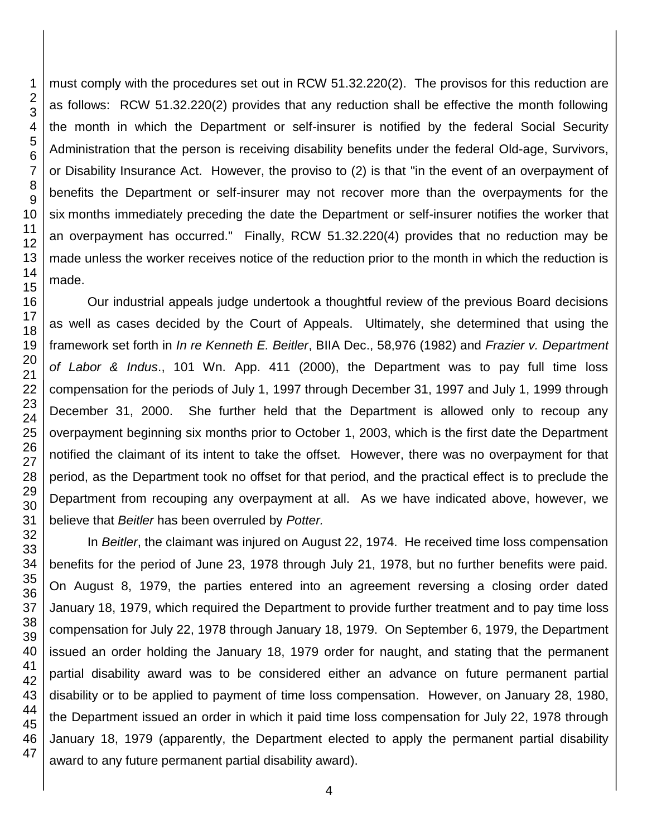must comply with the procedures set out in RCW 51.32.220(2). The provisos for this reduction are as follows: RCW 51.32.220(2) provides that any reduction shall be effective the month following the month in which the Department or self-insurer is notified by the federal Social Security Administration that the person is receiving disability benefits under the federal Old-age, Survivors, or Disability Insurance Act. However, the proviso to (2) is that "in the event of an overpayment of benefits the Department or self-insurer may not recover more than the overpayments for the six months immediately preceding the date the Department or self-insurer notifies the worker that an overpayment has occurred." Finally, RCW 51.32.220(4) provides that no reduction may be made unless the worker receives notice of the reduction prior to the month in which the reduction is made.

Our industrial appeals judge undertook a thoughtful review of the previous Board decisions as well as cases decided by the Court of Appeals. Ultimately, she determined that using the framework set forth in *In re Kenneth E. Beitler*, BIIA Dec., 58,976 (1982) and *Frazier v. Department of Labor & Indus*., 101 Wn. App. 411 (2000), the Department was to pay full time loss compensation for the periods of July 1, 1997 through December 31, 1997 and July 1, 1999 through December 31, 2000. She further held that the Department is allowed only to recoup any overpayment beginning six months prior to October 1, 2003, which is the first date the Department notified the claimant of its intent to take the offset. However, there was no overpayment for that period, as the Department took no offset for that period, and the practical effect is to preclude the Department from recouping any overpayment at all. As we have indicated above, however, we believe that *Beitler* has been overruled by *Potter.* 

In *Beitler*, the claimant was injured on August 22, 1974. He received time loss compensation benefits for the period of June 23, 1978 through July 21, 1978, but no further benefits were paid. On August 8, 1979, the parties entered into an agreement reversing a closing order dated January 18, 1979, which required the Department to provide further treatment and to pay time loss compensation for July 22, 1978 through January 18, 1979. On September 6, 1979, the Department issued an order holding the January 18, 1979 order for naught, and stating that the permanent partial disability award was to be considered either an advance on future permanent partial disability or to be applied to payment of time loss compensation. However, on January 28, 1980, the Department issued an order in which it paid time loss compensation for July 22, 1978 through January 18, 1979 (apparently, the Department elected to apply the permanent partial disability award to any future permanent partial disability award).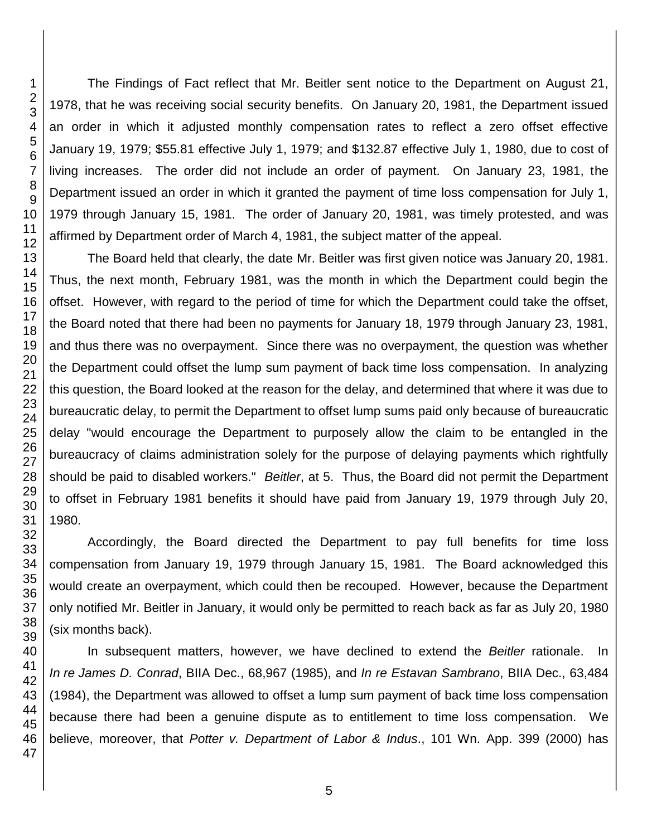The Findings of Fact reflect that Mr. Beitler sent notice to the Department on August 21, 1978, that he was receiving social security benefits. On January 20, 1981, the Department issued an order in which it adjusted monthly compensation rates to reflect a zero offset effective January 19, 1979; \$55.81 effective July 1, 1979; and \$132.87 effective July 1, 1980, due to cost of living increases. The order did not include an order of payment. On January 23, 1981, the Department issued an order in which it granted the payment of time loss compensation for July 1, 1979 through January 15, 1981. The order of January 20, 1981, was timely protested, and was affirmed by Department order of March 4, 1981, the subject matter of the appeal.

The Board held that clearly, the date Mr. Beitler was first given notice was January 20, 1981. Thus, the next month, February 1981, was the month in which the Department could begin the offset. However, with regard to the period of time for which the Department could take the offset, the Board noted that there had been no payments for January 18, 1979 through January 23, 1981, and thus there was no overpayment. Since there was no overpayment, the question was whether the Department could offset the lump sum payment of back time loss compensation. In analyzing this question, the Board looked at the reason for the delay, and determined that where it was due to bureaucratic delay, to permit the Department to offset lump sums paid only because of bureaucratic delay "would encourage the Department to purposely allow the claim to be entangled in the bureaucracy of claims administration solely for the purpose of delaying payments which rightfully should be paid to disabled workers." *Beitler*, at 5. Thus, the Board did not permit the Department to offset in February 1981 benefits it should have paid from January 19, 1979 through July 20,

Accordingly, the Board directed the Department to pay full benefits for time loss compensation from January 19, 1979 through January 15, 1981. The Board acknowledged this would create an overpayment, which could then be recouped. However, because the Department only notified Mr. Beitler in January, it would only be permitted to reach back as far as July 20, 1980 (six months back).

 In subsequent matters, however, we have declined to extend the *Beitler* rationale. In *In re James D. Conrad*, BIIA Dec., 68,967 (1985), and *In re Estavan Sambrano*, BIIA Dec., 63,484 (1984), the Department was allowed to offset a lump sum payment of back time loss compensation because there had been a genuine dispute as to entitlement to time loss compensation. We believe, moreover, that *Potter v. Department of Labor & Indus*., 101 Wn. App. 399 (2000) has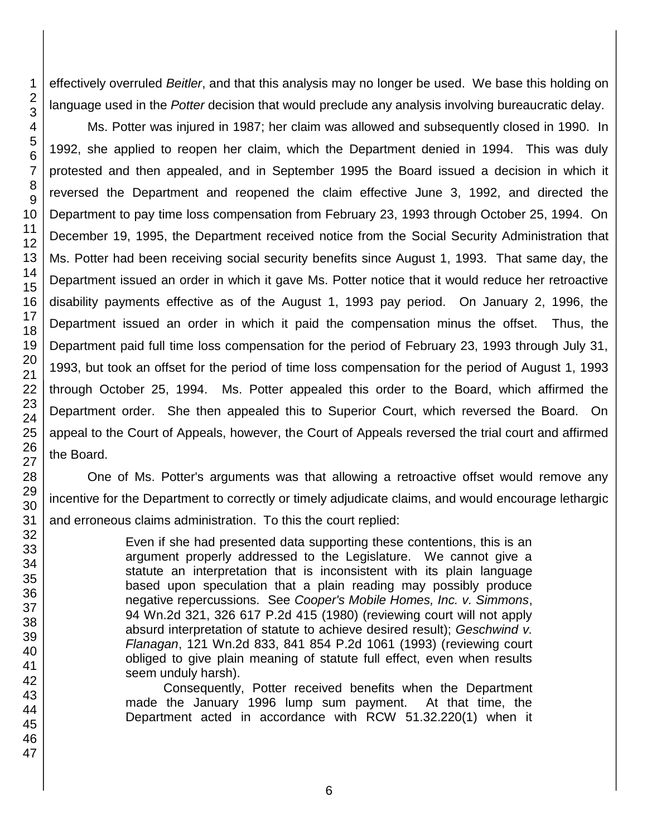effectively overruled *Beitler*, and that this analysis may no longer be used. We base this holding on language used in the *Potter* decision that would preclude any analysis involving bureaucratic delay.

Ms. Potter was injured in 1987; her claim was allowed and subsequently closed in 1990. In 1992, she applied to reopen her claim, which the Department denied in 1994. This was duly protested and then appealed, and in September 1995 the Board issued a decision in which it reversed the Department and reopened the claim effective June 3, 1992, and directed the Department to pay time loss compensation from February 23, 1993 through October 25, 1994. On December 19, 1995, the Department received notice from the Social Security Administration that Ms. Potter had been receiving social security benefits since August 1, 1993. That same day, the Department issued an order in which it gave Ms. Potter notice that it would reduce her retroactive disability payments effective as of the August 1, 1993 pay period. On January 2, 1996, the Department issued an order in which it paid the compensation minus the offset. Thus, the Department paid full time loss compensation for the period of February 23, 1993 through July 31, 1993, but took an offset for the period of time loss compensation for the period of August 1, 1993 through October 25, 1994. Ms. Potter appealed this order to the Board, which affirmed the Department order. She then appealed this to Superior Court, which reversed the Board. On appeal to the Court of Appeals, however, the Court of Appeals reversed the trial court and affirmed the Board.

One of Ms. Potter's arguments was that allowing a retroactive offset would remove any incentive for the Department to correctly or timely adjudicate claims, and would encourage lethargic and erroneous claims administration. To this the court replied:

> Even if she had presented data supporting these contentions, this is an argument properly addressed to the Legislature. We cannot give a statute an interpretation that is inconsistent with its plain language based upon speculation that a plain reading may possibly produce negative repercussions. See *Cooper's Mobile Homes, Inc. v. Simmons*, 94 Wn.2d 321, 326 617 P.2d 415 (1980) (reviewing court will not apply absurd interpretation of statute to achieve desired result); *Geschwind v. Flanagan*, 121 Wn.2d 833, 841 854 P.2d 1061 (1993) (reviewing court obliged to give plain meaning of statute full effect, even when results seem unduly harsh).

> Consequently, Potter received benefits when the Department made the January 1996 lump sum payment. At that time, the Department acted in accordance with RCW 51.32.220(1) when it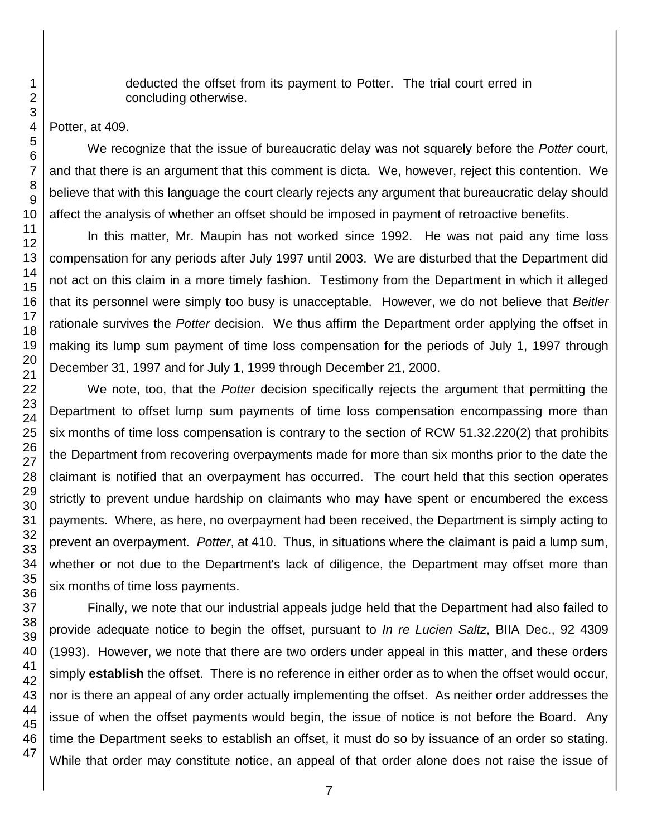deducted the offset from its payment to Potter. The trial court erred in concluding otherwise.

Potter, at 409.

1

We recognize that the issue of bureaucratic delay was not squarely before the *Potter* court, and that there is an argument that this comment is dicta. We, however, reject this contention. We believe that with this language the court clearly rejects any argument that bureaucratic delay should affect the analysis of whether an offset should be imposed in payment of retroactive benefits.

In this matter, Mr. Maupin has not worked since 1992. He was not paid any time loss compensation for any periods after July 1997 until 2003. We are disturbed that the Department did not act on this claim in a more timely fashion. Testimony from the Department in which it alleged that its personnel were simply too busy is unacceptable. However, we do not believe that *Beitler* rationale survives the *Potter* decision. We thus affirm the Department order applying the offset in making its lump sum payment of time loss compensation for the periods of July 1, 1997 through December 31, 1997 and for July 1, 1999 through December 21, 2000.

We note, too, that the *Potter* decision specifically rejects the argument that permitting the Department to offset lump sum payments of time loss compensation encompassing more than six months of time loss compensation is contrary to the section of RCW 51.32.220(2) that prohibits the Department from recovering overpayments made for more than six months prior to the date the claimant is notified that an overpayment has occurred. The court held that this section operates strictly to prevent undue hardship on claimants who may have spent or encumbered the excess payments. Where, as here, no overpayment had been received, the Department is simply acting to prevent an overpayment. *Potter*, at 410. Thus, in situations where the claimant is paid a lump sum, whether or not due to the Department's lack of diligence, the Department may offset more than six months of time loss payments.

Finally, we note that our industrial appeals judge held that the Department had also failed to provide adequate notice to begin the offset, pursuant to *In re Lucien Saltz*, BIIA Dec., 92 4309 (1993). However, we note that there are two orders under appeal in this matter, and these orders simply **establish** the offset. There is no reference in either order as to when the offset would occur, nor is there an appeal of any order actually implementing the offset. As neither order addresses the issue of when the offset payments would begin, the issue of notice is not before the Board. Any time the Department seeks to establish an offset, it must do so by issuance of an order so stating. While that order may constitute notice, an appeal of that order alone does not raise the issue of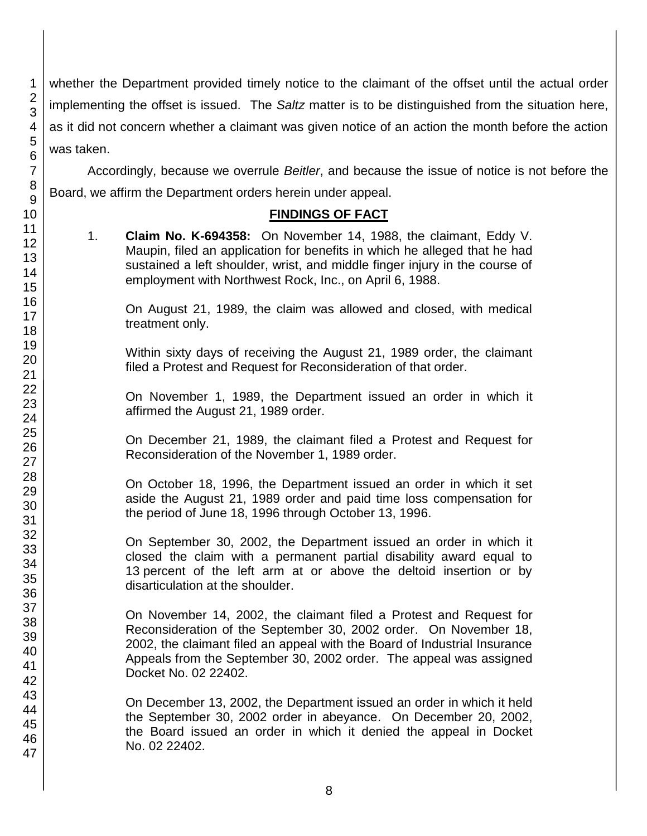whether the Department provided timely notice to the claimant of the offset until the actual order implementing the offset is issued. The *Saltz* matter is to be distinguished from the situation here, as it did not concern whether a claimant was given notice of an action the month before the action was taken.

Accordingly, because we overrule *Beitler*, and because the issue of notice is not before the Board, we affirm the Department orders herein under appeal.

## **FINDINGS OF FACT**

1. **Claim No. K-694358:** On November 14, 1988, the claimant, Eddy V. Maupin, filed an application for benefits in which he alleged that he had sustained a left shoulder, wrist, and middle finger injury in the course of employment with Northwest Rock, Inc., on April 6, 1988.

On August 21, 1989, the claim was allowed and closed, with medical treatment only.

Within sixty days of receiving the August 21, 1989 order, the claimant filed a Protest and Request for Reconsideration of that order.

On November 1, 1989, the Department issued an order in which it affirmed the August 21, 1989 order.

On December 21, 1989, the claimant filed a Protest and Request for Reconsideration of the November 1, 1989 order.

On October 18, 1996, the Department issued an order in which it set aside the August 21, 1989 order and paid time loss compensation for the period of June 18, 1996 through October 13, 1996.

On September 30, 2002, the Department issued an order in which it closed the claim with a permanent partial disability award equal to 13 percent of the left arm at or above the deltoid insertion or by disarticulation at the shoulder.

On November 14, 2002, the claimant filed a Protest and Request for Reconsideration of the September 30, 2002 order. On November 18, 2002, the claimant filed an appeal with the Board of Industrial Insurance Appeals from the September 30, 2002 order. The appeal was assigned Docket No. 02 22402.

On December 13, 2002, the Department issued an order in which it held the September 30, 2002 order in abeyance. On December 20, 2002, the Board issued an order in which it denied the appeal in Docket No. 02 22402.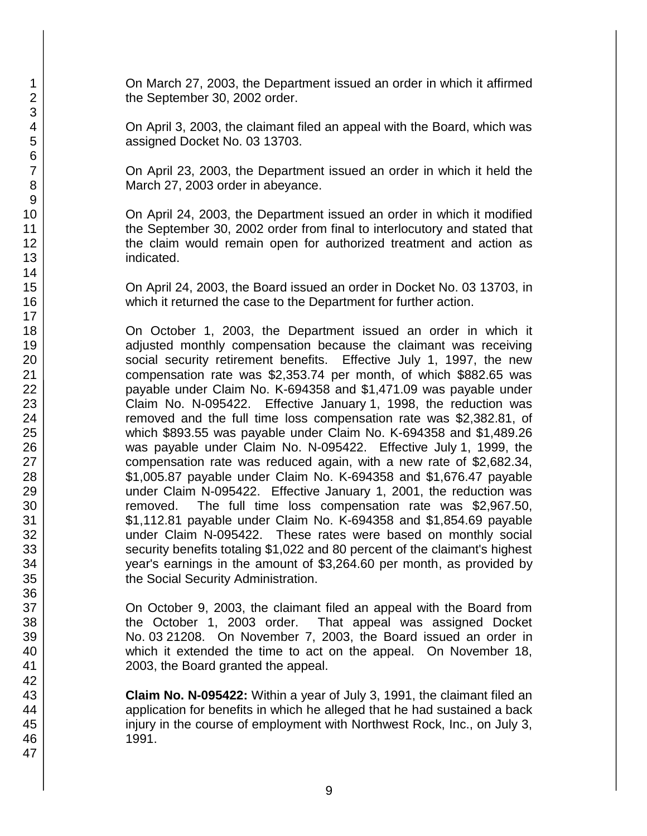On March 27, 2003, the Department issued an order in which it affirmed the September 30, 2002 order.

On April 3, 2003, the claimant filed an appeal with the Board, which was assigned Docket No. 03 13703.

On April 23, 2003, the Department issued an order in which it held the March 27, 2003 order in abeyance.

On April 24, 2003, the Department issued an order in which it modified the September 30, 2002 order from final to interlocutory and stated that the claim would remain open for authorized treatment and action as indicated.

On April 24, 2003, the Board issued an order in Docket No. 03 13703, in which it returned the case to the Department for further action.

On October 1, 2003, the Department issued an order in which it adjusted monthly compensation because the claimant was receiving social security retirement benefits. Effective July 1, 1997, the new compensation rate was \$2,353.74 per month, of which \$882.65 was payable under Claim No. K-694358 and \$1,471.09 was payable under Claim No. N-095422. Effective January 1, 1998, the reduction was removed and the full time loss compensation rate was \$2,382.81, of which \$893.55 was payable under Claim No. K-694358 and \$1,489.26 was payable under Claim No. N-095422. Effective July 1, 1999, the compensation rate was reduced again, with a new rate of \$2,682.34, \$1,005.87 payable under Claim No. K-694358 and \$1,676.47 payable under Claim N-095422. Effective January 1, 2001, the reduction was removed. The full time loss compensation rate was \$2,967.50, \$1,112.81 payable under Claim No. K-694358 and \$1,854.69 payable under Claim N-095422. These rates were based on monthly social security benefits totaling \$1,022 and 80 percent of the claimant's highest year's earnings in the amount of \$3,264.60 per month, as provided by the Social Security Administration.

On October 9, 2003, the claimant filed an appeal with the Board from the October 1, 2003 order. That appeal was assigned Docket No. 03 21208. On November 7, 2003, the Board issued an order in which it extended the time to act on the appeal. On November 18, 2003, the Board granted the appeal.

**Claim No. N-095422:** Within a year of July 3, 1991, the claimant filed an application for benefits in which he alleged that he had sustained a back injury in the course of employment with Northwest Rock, Inc., on July 3, 1991.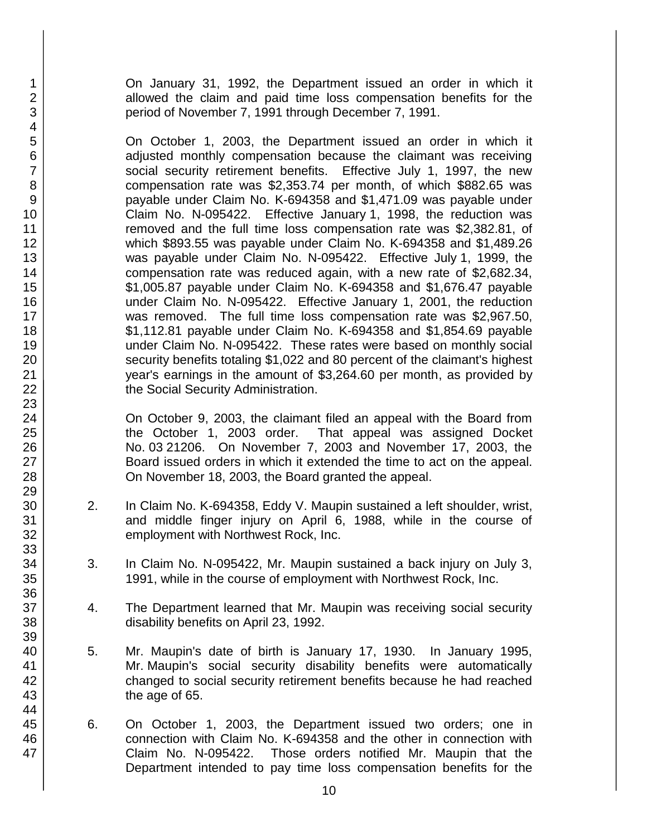On January 31, 1992, the Department issued an order in which it allowed the claim and paid time loss compensation benefits for the period of November 7, 1991 through December 7, 1991.

On October 1, 2003, the Department issued an order in which it adjusted monthly compensation because the claimant was receiving social security retirement benefits. Effective July 1, 1997, the new compensation rate was \$2,353.74 per month, of which \$882.65 was payable under Claim No. K-694358 and \$1,471.09 was payable under Claim No. N-095422. Effective January 1, 1998, the reduction was removed and the full time loss compensation rate was \$2,382.81, of which \$893.55 was payable under Claim No. K-694358 and \$1,489.26 was payable under Claim No. N-095422. Effective July 1, 1999, the compensation rate was reduced again, with a new rate of \$2,682.34, \$1,005.87 payable under Claim No. K-694358 and \$1,676.47 payable under Claim No. N-095422. Effective January 1, 2001, the reduction was removed. The full time loss compensation rate was \$2,967.50, \$1,112.81 payable under Claim No. K-694358 and \$1,854.69 payable under Claim No. N-095422. These rates were based on monthly social security benefits totaling \$1,022 and 80 percent of the claimant's highest year's earnings in the amount of \$3,264.60 per month, as provided by the Social Security Administration.

On October 9, 2003, the claimant filed an appeal with the Board from the October 1, 2003 order. That appeal was assigned Docket No. 03 21206. On November 7, 2003 and November 17, 2003, the Board issued orders in which it extended the time to act on the appeal. On November 18, 2003, the Board granted the appeal.

- 2. In Claim No. K-694358, Eddy V. Maupin sustained a left shoulder, wrist, and middle finger injury on April 6, 1988, while in the course of employment with Northwest Rock, Inc.
- 3. In Claim No. N-095422, Mr. Maupin sustained a back injury on July 3, 1991, while in the course of employment with Northwest Rock, Inc.
- 4. The Department learned that Mr. Maupin was receiving social security disability benefits on April 23, 1992.
- 5. Mr. Maupin's date of birth is January 17, 1930. In January 1995, Mr. Maupin's social security disability benefits were automatically changed to social security retirement benefits because he had reached the age of 65.
- 6. On October 1, 2003, the Department issued two orders; one in connection with Claim No. K-694358 and the other in connection with Claim No. N-095422. Those orders notified Mr. Maupin that the Department intended to pay time loss compensation benefits for the

47